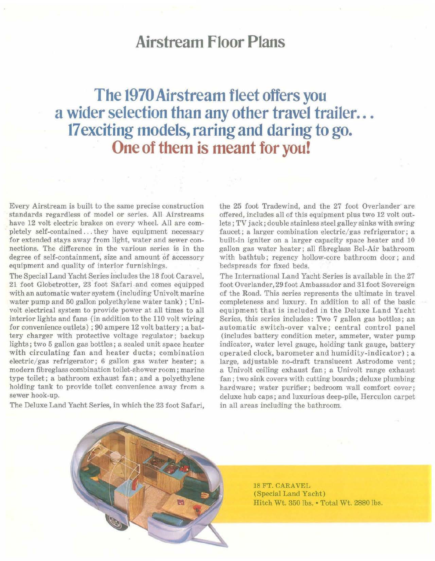## **Airstream Floor Plans**

## **The 1970Airstream fleet offers you a wider selection than any other travel trailer... 17exciting models,raring and daring to go. One of them is meant for you!**

Every Airstream is built to the same precise construction standards regardless of model or series. All Airstreams have 12 volt electric brakes on every wheel. All are completely self-contained ... they have equipment necessary for extended stays away from light, water and sewer connections. The difference in the various series is in the degree of self-containment, size and amount of accessory equipment and quality of interior furnishings.

The Special Land Yacht Series includes the 18 foot Caravel, 21 foot Globetrotter, 23 foot Safari and comes equipped with an automatic water system (including Univolt marine water pump and 50 gallon polyethylene water tank) ; Univolt electrical system to provide power at all times to all interior lights and fans (in addition to the 110 volt wiring for convenience outlets) ; 90 ampere 12 volt battery; a battery charger with protective voltage regulator; backup lights; two 5 gallon gas bottles; a sealed unit space heater with circulating fan and heater ducts; combination electric/gas refrigerator; 6 gallon gas water heater; a modern fibreglass combination toilet-shower room; marine type toilet; a bathroom exhaust fan; and a polyethylene holding tank to provide toilet convenience away from a sewer hook-up.

The Deluxe Land Yacht Series, in which the 23 foot Safari,

the 25 foot Tradewind, and the 27 foot Overlander are offered, includes all of this equipment plus two 12 volt outlets; TV jack; double stainless steel galley sinks with swing faucet; a larger combination electric/gas refrigerator; a built-in igniter on a larger capacity space heater and 10 gallon gas water heater; all fibreglass Bel-Air bathroom with bathtub; regency hollow-core bathroom door; and bedspreads for fixed beds.

The International Land Yacht Series is available in the 27 foot Overlander, 29 foot Ambassador and 31 foot Sovereign of the Road. This series represents the ultimate in travel completeness and luxury. In addition to all of the basic equipment that is included in the Deluxe Land Yacht Series, this series includes: Two 7 gallon gas bottles; an automatic switch-over valve; central control panel (includes battery condition meter, ammeter, water pump indicator, water level gauge, holding tank gauge, battery operated clock, barometer and humidity-indicator) ; a large, adjustable no-draft translucent Astrodome vent; a Univolt ceiling exhaust fan; a Univolt range exhaust fan; two sink covers with cutting boards; deluxe plumbing hardware; water purifier; bedroom wall comfort cover; deluxe hub caps; and luxurious deep-pile, Herculon carpet in all areas including the bathroom.



18 FT. CARAVEL (Special Land Yacht) Hitch Wt. 350 lbs. • Total Wt. 2880 lbs.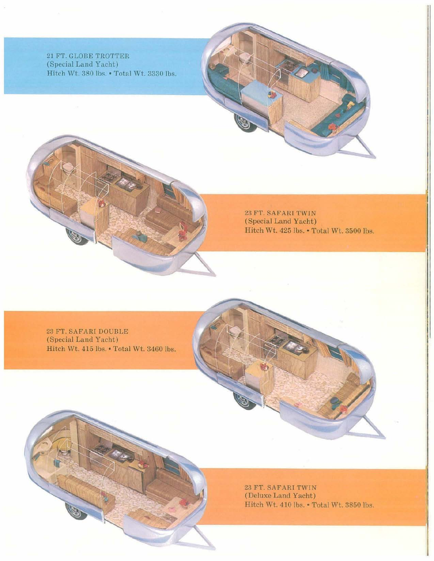21 FT. GLOBE TROTTER (Special Land Yacht) Hitch Wt. 380 lbs. • Total Wt. 3330 lbs.

> 23 FT. SAFARI TWIN (Special Land Yacht) Hitch Wt. 425 Ibs. • Total Wt. 3500 lbs.

23 FT. SAFARI DOUBLE (Special Land Yacht) Hitch Wt. 415 lbs. • Total Wt. 3460 lbs.

> 23 FT. SAFARI TWIN (Deluxe Land Yacht) Hitch Wt. 410 lbs. • Total Wt. 3850 lbs.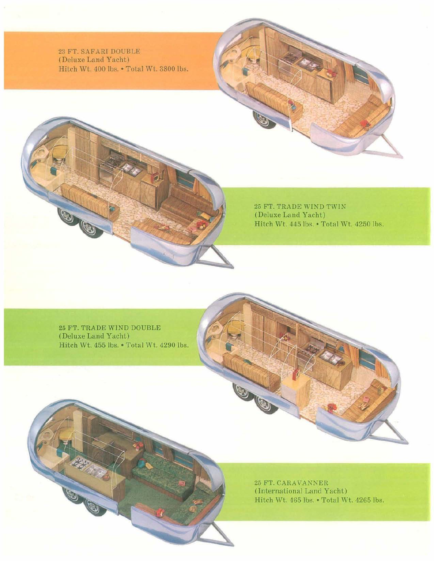23 FT. SAFARI DOUBLE (Deluxe Land Yacht) Hitch Wt. 400 lbs. • Total Wt. 3800 lbs.

> 25 FT. TRADE WIND TWIN (Deluxe Land Yacht) Hitch Wt. 445 lbs. • Total Wt. 4250 lbs.

25 FT. TRADE WIND DOUBLE (Deluxe Land Yacht) Hitch Wt. 455 lbs. • Total Wt. 4290 lbs.

> 25 FT. CARAVANNER (International Land Yacht) Hitch Wt. 465 lbs. • Total Wt. 4265 lbs.

0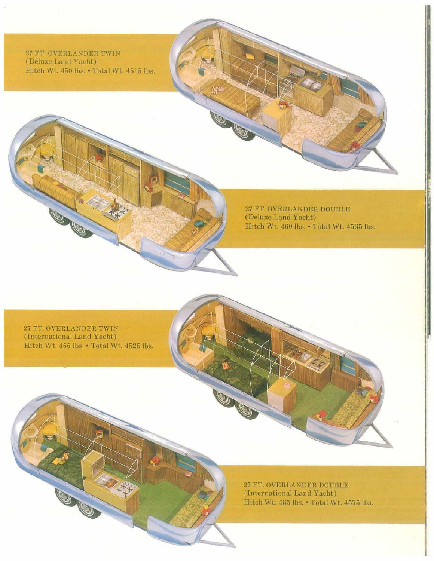27 FT. OVERLANDER TWIN (Deluxe Land Yacht) Hitch Wt. 450 lbs. • Total Wt. 4515 lbs.

> 27 FT. OVERLANDER DOUBLE (Deluxe Land Yacht) Hitch Wt. 460 Ibs. • Total Wt. 4565 lbs.

27 FT. OVERLANDER TWIN (International Land Yacht) Hitch Wt. 455 lbs. • Total Wt. 4525 lbs.

OB

27 FT. OVERLANDER DOUBLE (International Land Yacht) Hitch Wt. 465 lbs. • Total Wt. 4575 lbs.

00